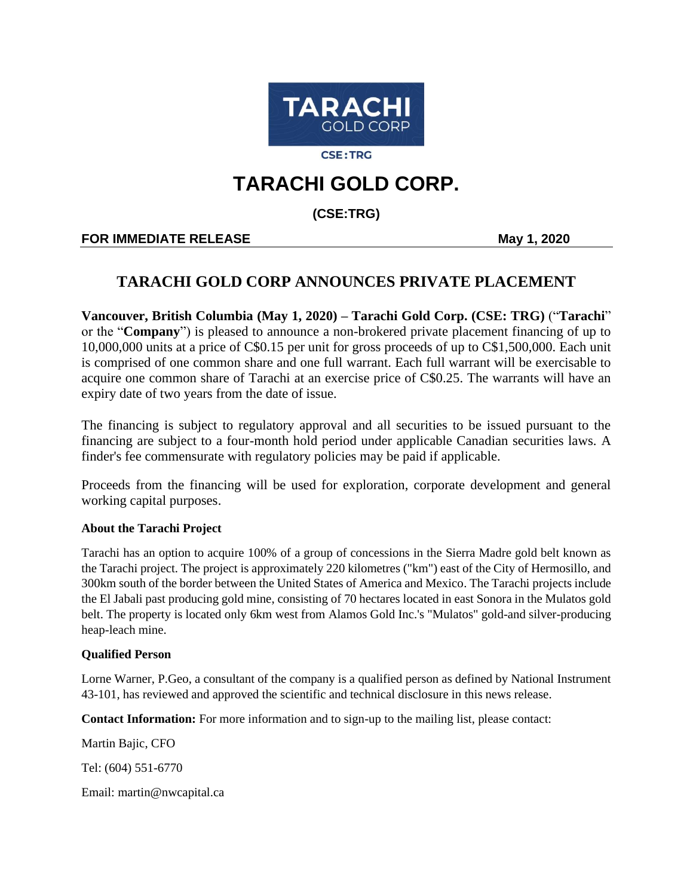

**CSE:TRG** 

# **TARACHI GOLD CORP.**

**(CSE:TRG)**

## **FOR IMMEDIATE RELEASE May 1, 2020**

# **TARACHI GOLD CORP ANNOUNCES PRIVATE PLACEMENT**

**Vancouver, British Columbia (May 1, 2020) – Tarachi Gold Corp. (CSE: TRG)** ("**Tarachi**" or the "**Company**") is pleased to announce a non-brokered private placement financing of up to 10,000,000 units at a price of C\$0.15 per unit for gross proceeds of up to C\$1,500,000. Each unit is comprised of one common share and one full warrant. Each full warrant will be exercisable to acquire one common share of Tarachi at an exercise price of C\$0.25. The warrants will have an expiry date of two years from the date of issue.

The financing is subject to regulatory approval and all securities to be issued pursuant to the financing are subject to a four-month hold period under applicable Canadian securities laws. A finder's fee commensurate with regulatory policies may be paid if applicable.

Proceeds from the financing will be used for exploration, corporate development and general working capital purposes.

### **About the Tarachi Project**

Tarachi has an option to acquire 100% of a group of concessions in the Sierra Madre gold belt known as the Tarachi project. The project is approximately 220 kilometres ("km") east of the City of Hermosillo, and 300km south of the border between the United States of America and Mexico. The Tarachi projects include the El Jabali past producing gold mine, consisting of 70 hectares located in east Sonora in the Mulatos gold belt. The property is located only 6km west from Alamos Gold Inc.'s "Mulatos" gold-and silver-producing heap-leach mine.

#### **Qualified Person**

Lorne Warner, P.Geo, a consultant of the company is a qualified person as defined by National Instrument 43-101, has reviewed and approved the scientific and technical disclosure in this news release.

**Contact Information:** For more information and to sign-up to the mailing list, please contact:

Martin Bajic, CFO

Tel: (604) 551-6770

Email: martin@nwcapital.ca